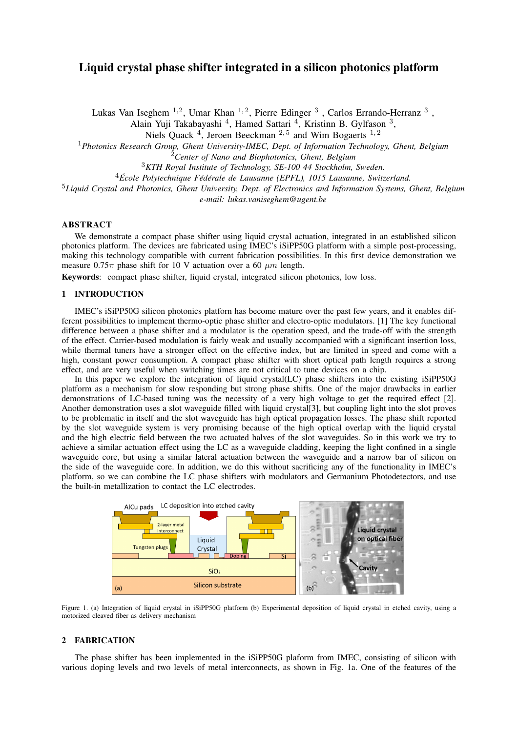# Liquid crystal phase shifter integrated in a silicon photonics platform

Lukas Van Iseghem  $^{1,2}$ , Umar Khan  $^{1,2}$ , Pierre Edinger  $^3$  , Carlos Errando-Herranz  $^3$  , Alain Yuji Takabayashi<sup>4</sup>, Hamed Sattari<sup>4</sup>, Kristinn B. Gylfason<sup>3</sup>,

Niels Quack  $<sup>4</sup>$ , Jeroen Beeckman  $<sup>2,5</sup>$  and Wim Bogaerts  $<sup>1,2</sup>$ </sup></sup></sup>

<sup>1</sup>*Photonics Research Group, Ghent University-IMEC, Dept. of Information Technology, Ghent, Belgium*

<sup>2</sup>*Center of Nano and Biophotonics, Ghent, Belgium*

<sup>3</sup>*KTH Royal Institute of Technology, SE-100 44 Stockholm, Sweden.*

<sup>4</sup>*Ecole Polytechnique F ´ ed´ erale de Lausanne (EPFL), 1015 Lausanne, Switzerland. ´*

<sup>5</sup>*Liquid Crystal and Photonics, Ghent University, Dept. of Electronics and Information Systems, Ghent, Belgium*

*e-mail: lukas.vaniseghem@ugent.be*

## ABSTRACT

We demonstrate a compact phase shifter using liquid crystal actuation, integrated in an established silicon photonics platform. The devices are fabricated using IMEC's iSiPP50G platform with a simple post-processing, making this technology compatible with current fabrication possibilities. In this first device demonstration we measure  $0.75\pi$  phase shift for 10 V actuation over a 60  $\mu$ m length.

Keywords: compact phase shifter, liquid crystal, integrated silicon photonics, low loss.

## 1 INTRODUCTION

IMEC's iSiPP50G silicon photonics platforn has become mature over the past few years, and it enables different possibilities to implement thermo-optic phase shifter and electro-optic modulators. [1] The key functional difference between a phase shifter and a modulator is the operation speed, and the trade-off with the strength of the effect. Carrier-based modulation is fairly weak and usually accompanied with a significant insertion loss, while thermal tuners have a stronger effect on the effective index, but are limited in speed and come with a high, constant power consumption. A compact phase shifter with short optical path length requires a strong effect, and are very useful when switching times are not critical to tune devices on a chip.

In this paper we explore the integration of liquid crystal(LC) phase shifters into the existing iSiPP50G platform as a mechanism for slow responding but strong phase shifts. One of the major drawbacks in earlier demonstrations of LC-based tuning was the necessity of a very high voltage to get the required effect [2]. Another demonstration uses a slot waveguide filled with liquid crystal[3], but coupling light into the slot proves to be problematic in itself and the slot waveguide has high optical propagation losses. The phase shift reported by the slot waveguide system is very promising because of the high optical overlap with the liquid crystal and the high electric field between the two actuated halves of the slot waveguides. So in this work we try to achieve a similar actuation effect using the LC as a waveguide cladding, keeping the light confined in a single waveguide core, but using a similar lateral actuation between the waveguide and a narrow bar of silicon on the side of the waveguide core. In addition, we do this without sacrificing any of the functionality in IMEC's platform, so we can combine the LC phase shifters with modulators and Germanium Photodetectors, and use the built-in metallization to contact the LC electrodes.



Figure 1. (a) Integration of liquid crystal in iSiPP50G platform (b) Experimental deposition of liquid crystal in etched cavity, using a motorized cleaved fiber as delivery mechanism

#### 2 FABRICATION

The phase shifter has been implemented in the iSiPP50G plaform from IMEC, consisting of silicon with various doping levels and two levels of metal interconnects, as shown in Fig. 1a. One of the features of the